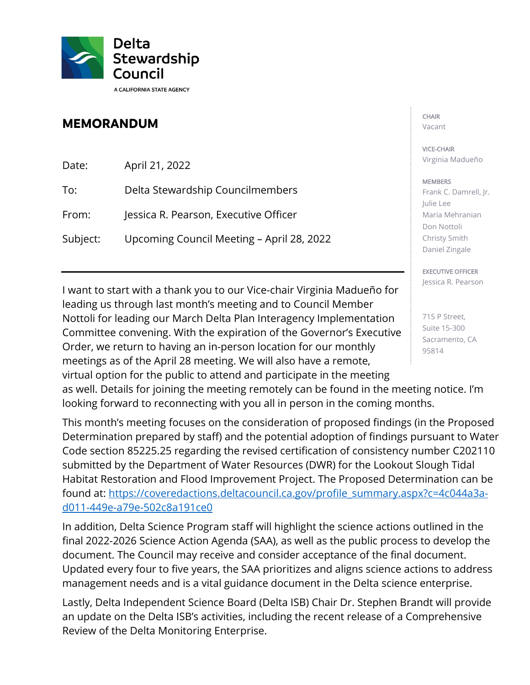

## **MEMORANDUM**

Date: April 21, 2022

To: Delta Stewardship Councilmembers

From: Jessica R. Pearson, Executive Officer

Subject: Upcoming Council Meeting - April 28, 2022

 I want to start with a thank you to our Vice-chair Virginia Madueño for Committee convening. With the expiration of the Governor's Executive meetings as of the April 28 meeting. We will also have a remote, leading us through last month's meeting and to Council Member Nottoli for leading our March Delta Plan Interagency Implementation Order, we return to having an in-person location for our monthly virtual option for the public to attend and participate in the meeting

CHAIR Vacant

VICE-CHAIR Virginia Madueño

## **MEMBERS**

 Frank C. Damrell, Jr. Julie Lee Maria Mehranian Don Nottoli Christy Smith Daniel Zingale

EXECUTIVE OFFICER Jessica R. Pearson

 715 P Street, Suite 15-300 Sacramento, CA 95814

as well. Details for joining the meeting remotely can be found in the meeting notice. I'm looking forward to reconnecting with you all in person in the coming months.

 This month's meeting focuses on the consideration of proposed findings (in the Proposed Habitat Restoration and Flood Improvement Project. The Proposed Determination can be d011-449e-a79e-502c8a191ce0 Determination prepared by staff) and the potential adoption of findings pursuant to Water Code section [85225.25](https://85225.25) regarding the revised certification of consistency number C202110 submitted by the Department of Water Resources (DWR) for the Lookout Slough Tidal found at: https://coveredactions.deltacouncil.ca.gov/profile\_summary.aspx?c=4c044a3a-

<u>d011-449e-a79e-502c8a191ce0</u><br>In addition, Delta Science Program staff will highlight the science actions outlined in the final 2022-2026 Science Action Agenda (SAA), as well as the public process to develop the document. The Council may receive and consider acceptance of the final document. Updated every four to five years, the SAA prioritizes and aligns science actions to address management needs and is a vital guidance document in the Delta science enterprise.

 Review of the Delta Monitoring Enterprise. Lastly, Delta Independent Science Board (Delta ISB) Chair Dr. Stephen Brandt will provide an update on the Delta ISB's activities, including the recent release of a Comprehensive